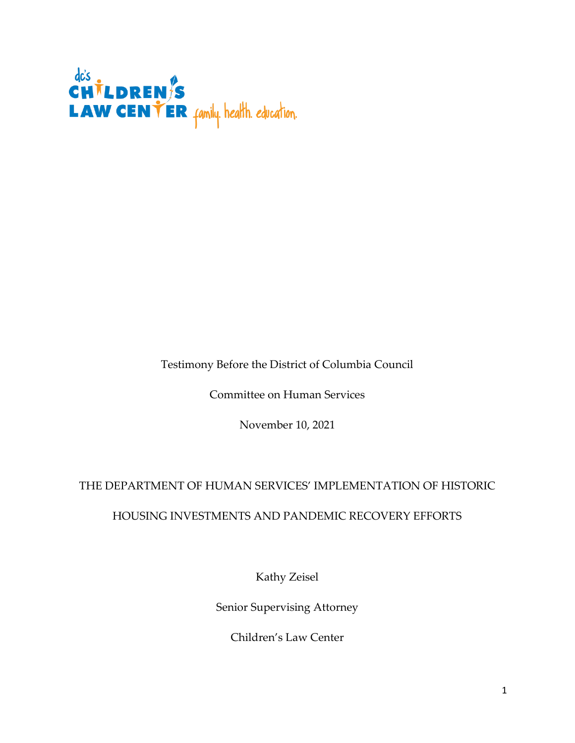

Testimony Before the District of Columbia Council

Committee on Human Services

November 10, 2021

## THE DEPARTMENT OF HUMAN SERVICES' IMPLEMENTATION OF HISTORIC

## HOUSING INVESTMENTS AND PANDEMIC RECOVERY EFFORTS

Kathy Zeisel

Senior Supervising Attorney

Children's Law Center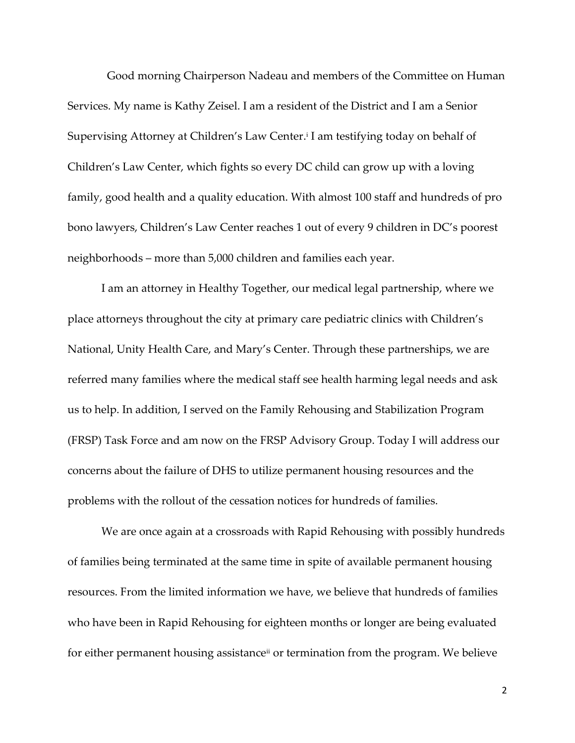Good morning Chairperson Nadeau and members of the Committee on Human Services. My name is Kathy Zeisel. I am a resident of the District and I am a Senior Supervising Attorney at Children's Law Center.<sup>i</sup> I am testifying today on behalf of Children's Law Center, which fights so every DC child can grow up with a loving family, good health and a quality education. With almost 100 staff and hundreds of pro bono lawyers, Children's Law Center reaches 1 out of every 9 children in DC's poorest neighborhoods – more than 5,000 children and families each year.

I am an attorney in Healthy Together, our medical legal partnership, where we place attorneys throughout the city at primary care pediatric clinics with Children's National, Unity Health Care, and Mary's Center. Through these partnerships, we are referred many families where the medical staff see health harming legal needs and ask us to help. In addition, I served on the Family Rehousing and Stabilization Program (FRSP) Task Force and am now on the FRSP Advisory Group. Today I will address our concerns about the failure of DHS to utilize permanent housing resources and the problems with the rollout of the cessation notices for hundreds of families.

We are once again at a crossroads with Rapid Rehousing with possibly hundreds of families being terminated at the same time in spite of available permanent housing resources. From the limited information we have, we believe that hundreds of families who have been in Rapid Rehousing for eighteen months or longer are being evaluated for either permanent housing assistanceii or termination from the program. We believe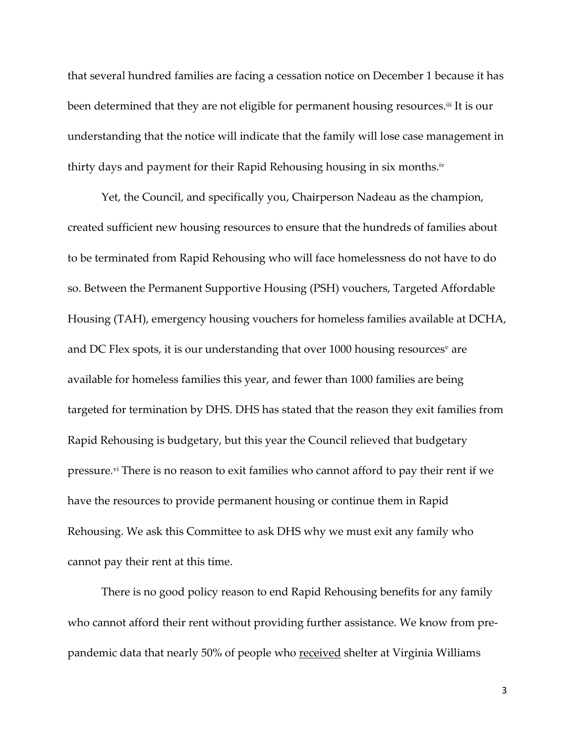that several hundred families are facing a cessation notice on December 1 because it has been determined that they are not eligible for permanent housing resources. iii It is our understanding that the notice will indicate that the family will lose case management in thirty days and payment for their Rapid Rehousing housing in six months.iv

Yet, the Council, and specifically you, Chairperson Nadeau as the champion, created sufficient new housing resources to ensure that the hundreds of families about to be terminated from Rapid Rehousing who will face homelessness do not have to do so. Between the Permanent Supportive Housing (PSH) vouchers, Targeted Affordable Housing (TAH), emergency housing vouchers for homeless families available at DCHA, and DC Flex spots, it is our understanding that over 1000 housing resources<sup>v</sup> are available for homeless families this year, and fewer than 1000 families are being targeted for termination by DHS. DHS has stated that the reason they exit families from Rapid Rehousing is budgetary, but this year the Council relieved that budgetary pressure.<sup>vi</sup> There is no reason to exit families who cannot afford to pay their rent if we have the resources to provide permanent housing or continue them in Rapid Rehousing. We ask this Committee to ask DHS why we must exit any family who cannot pay their rent at this time.

There is no good policy reason to end Rapid Rehousing benefits for any family who cannot afford their rent without providing further assistance. We know from prepandemic data that nearly 50% of people who received shelter at Virginia Williams

3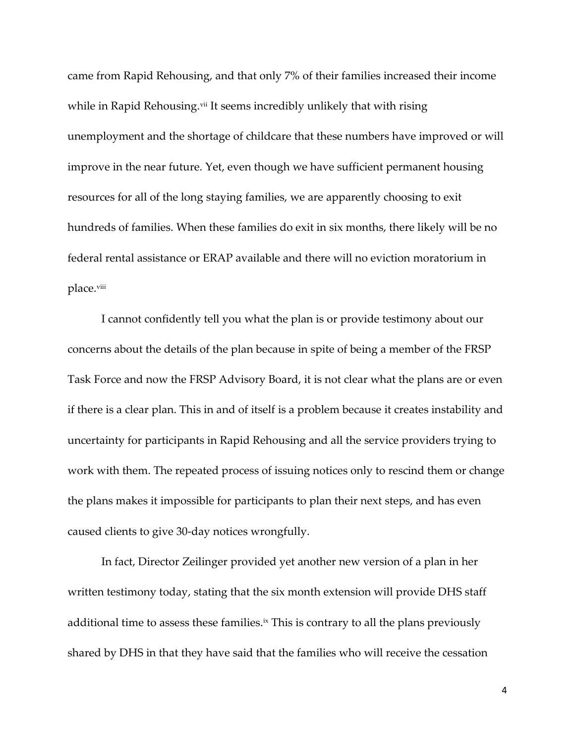came from Rapid Rehousing, and that only 7% of their families increased their income while in Rapid Rehousing.<sup>vii</sup> It seems incredibly unlikely that with rising unemployment and the shortage of childcare that these numbers have improved or will improve in the near future. Yet, even though we have sufficient permanent housing resources for all of the long staying families, we are apparently choosing to exit hundreds of families. When these families do exit in six months, there likely will be no federal rental assistance or ERAP available and there will no eviction moratorium in place.viii

I cannot confidently tell you what the plan is or provide testimony about our concerns about the details of the plan because in spite of being a member of the FRSP Task Force and now the FRSP Advisory Board, it is not clear what the plans are or even if there is a clear plan. This in and of itself is a problem because it creates instability and uncertainty for participants in Rapid Rehousing and all the service providers trying to work with them. The repeated process of issuing notices only to rescind them or change the plans makes it impossible for participants to plan their next steps, and has even caused clients to give 30-day notices wrongfully.

In fact, Director Zeilinger provided yet another new version of a plan in her written testimony today, stating that the six month extension will provide DHS staff additional time to assess these families.<sup>ix</sup> This is contrary to all the plans previously shared by DHS in that they have said that the families who will receive the cessation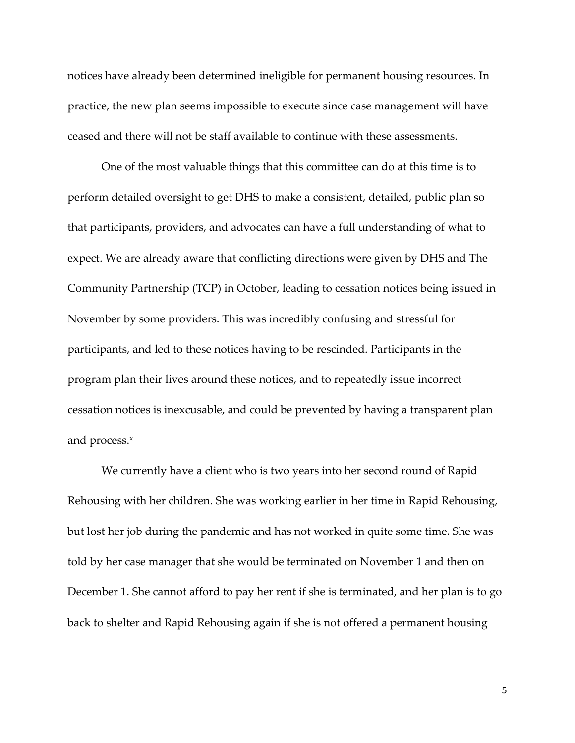notices have already been determined ineligible for permanent housing resources. In practice, the new plan seems impossible to execute since case management will have ceased and there will not be staff available to continue with these assessments.

One of the most valuable things that this committee can do at this time is to perform detailed oversight to get DHS to make a consistent, detailed, public plan so that participants, providers, and advocates can have a full understanding of what to expect. We are already aware that conflicting directions were given by DHS and The Community Partnership (TCP) in October, leading to cessation notices being issued in November by some providers. This was incredibly confusing and stressful for participants, and led to these notices having to be rescinded. Participants in the program plan their lives around these notices, and to repeatedly issue incorrect cessation notices is inexcusable, and could be prevented by having a transparent plan and process. $x$ 

We currently have a client who is two years into her second round of Rapid Rehousing with her children. She was working earlier in her time in Rapid Rehousing, but lost her job during the pandemic and has not worked in quite some time. She was told by her case manager that she would be terminated on November 1 and then on December 1. She cannot afford to pay her rent if she is terminated, and her plan is to go back to shelter and Rapid Rehousing again if she is not offered a permanent housing

5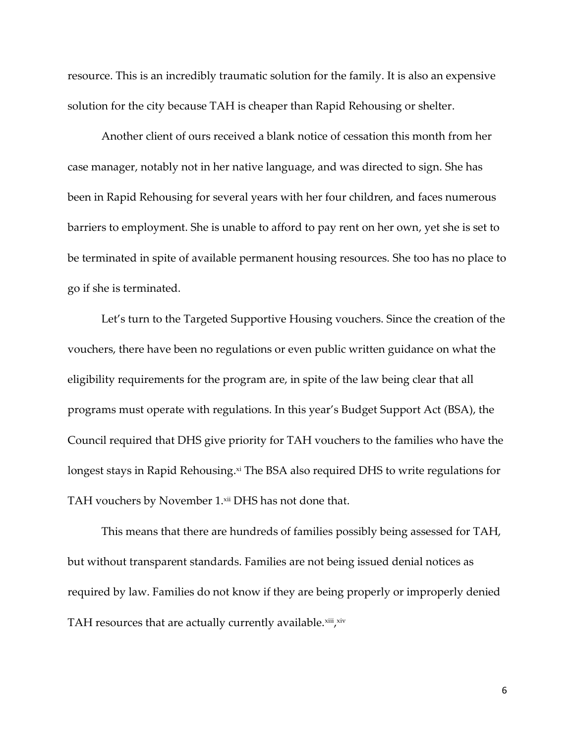resource. This is an incredibly traumatic solution for the family. It is also an expensive solution for the city because TAH is cheaper than Rapid Rehousing or shelter.

Another client of ours received a blank notice of cessation this month from her case manager, notably not in her native language, and was directed to sign. She has been in Rapid Rehousing for several years with her four children, and faces numerous barriers to employment. She is unable to afford to pay rent on her own, yet she is set to be terminated in spite of available permanent housing resources. She too has no place to go if she is terminated.

Let's turn to the Targeted Supportive Housing vouchers. Since the creation of the vouchers, there have been no regulations or even public written guidance on what the eligibility requirements for the program are, in spite of the law being clear that all programs must operate with regulations. In this year's Budget Support Act (BSA), the Council required that DHS give priority for TAH vouchers to the families who have the longest stays in Rapid Rehousing. xi The BSA also required DHS to write regulations for TAH vouchers by November 1.xii DHS has not done that.

This means that there are hundreds of families possibly being assessed for TAH, but without transparent standards. Families are not being issued denial notices as required by law. Families do not know if they are being properly or improperly denied TAH resources that are actually currently available. $^{\rm xii}$ , $^{\rm xiv}$ 

6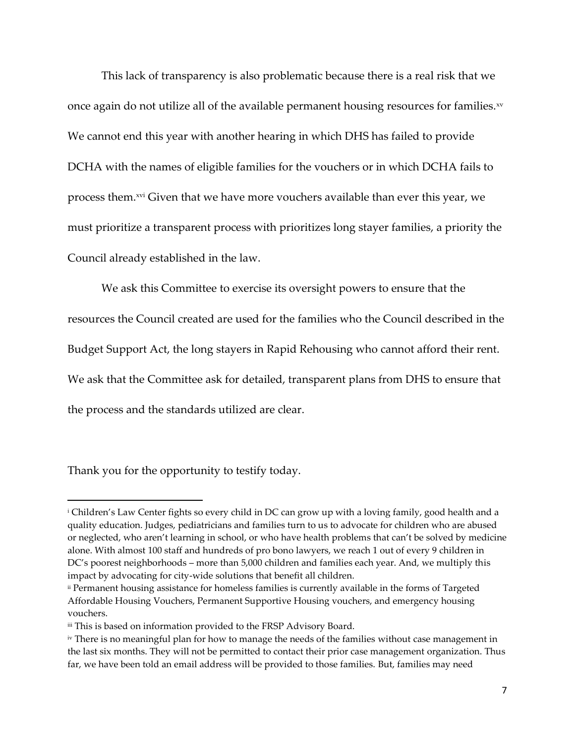This lack of transparency is also problematic because there is a real risk that we once again do not utilize all of the available permanent housing resources for families.<sup>xv</sup> We cannot end this year with another hearing in which DHS has failed to provide DCHA with the names of eligible families for the vouchers or in which DCHA fails to process them.xvi Given that we have more vouchers available than ever this year, we must prioritize a transparent process with prioritizes long stayer families, a priority the Council already established in the law.

We ask this Committee to exercise its oversight powers to ensure that the resources the Council created are used for the families who the Council described in the Budget Support Act, the long stayers in Rapid Rehousing who cannot afford their rent. We ask that the Committee ask for detailed, transparent plans from DHS to ensure that the process and the standards utilized are clear.

Thank you for the opportunity to testify today.

 $\overline{a}$ 

<sup>i</sup> Children's Law Center fights so every child in DC can grow up with a loving family, good health and a quality education. Judges, pediatricians and families turn to us to advocate for children who are abused or neglected, who aren't learning in school, or who have health problems that can't be solved by medicine alone. With almost 100 staff and hundreds of pro bono lawyers, we reach 1 out of every 9 children in DC's poorest neighborhoods – more than 5,000 children and families each year. And, we multiply this impact by advocating for city-wide solutions that benefit all children.

<sup>&</sup>lt;sup>ii</sup> Permanent housing assistance for homeless families is currently available in the forms of Targeted Affordable Housing Vouchers, Permanent Supportive Housing vouchers, and emergency housing vouchers.

iii This is based on information provided to the FRSP Advisory Board.

iv There is no meaningful plan for how to manage the needs of the families without case management in the last six months. They will not be permitted to contact their prior case management organization. Thus far, we have been told an email address will be provided to those families. But, families may need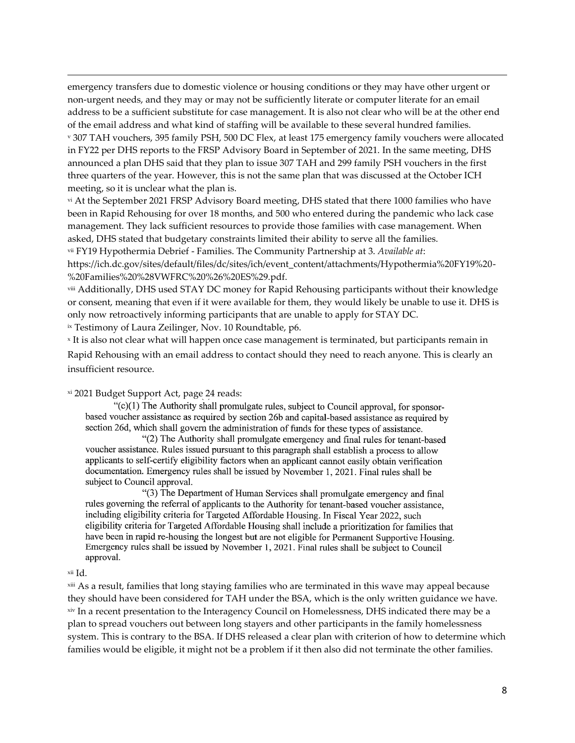emergency transfers due to domestic violence or housing conditions or they may have other urgent or non-urgent needs, and they may or may not be sufficiently literate or computer literate for an email address to be a sufficient substitute for case management. It is also not clear who will be at the other end of the email address and what kind of staffing will be available to these several hundred families. <sup>v</sup> 307 TAH vouchers, 395 family PSH, 500 DC Flex, at least 175 emergency family vouchers were allocated

in FY22 per DHS reports to the FRSP Advisory Board in September of 2021. In the same meeting, DHS announced a plan DHS said that they plan to issue 307 TAH and 299 family PSH vouchers in the first three quarters of the year. However, this is not the same plan that was discussed at the October ICH meeting, so it is unclear what the plan is.

vi At the September 2021 FRSP Advisory Board meeting, DHS stated that there 1000 families who have been in Rapid Rehousing for over 18 months, and 500 who entered during the pandemic who lack case management. They lack sufficient resources to provide those families with case management. When asked, DHS stated that budgetary constraints limited their ability to serve all the families.

vii FY19 Hypothermia Debrief - Families. The Community Partnership at 3. *Available at*:

https://ich.dc.gov/sites/default/files/dc/sites/ich/event\_content/attachments/Hypothermia%20FY19%20- %20Families%20%28VWFRC%20%26%20ES%29.pdf.

viii Additionally, DHS used STAY DC money for Rapid Rehousing participants without their knowledge or consent, meaning that even if it were available for them, they would likely be unable to use it. DHS is only now retroactively informing participants that are unable to apply for STAY DC.

ix Testimony of Laura Zeilinger, Nov. 10 Roundtable, p6.

x It is also not clear what will happen once case management is terminated, but participants remain in Rapid Rehousing with an email address to contact should they need to reach anyone. This is clearly an insufficient resource.

## xi 2021 Budget Support Act, page 24 reads:

"(c)(1) The Authority shall promulgate rules, subject to Council approval, for sponsorbased voucher assistance as required by section 26b and capital-based assistance as required by section 26d, which shall govern the administration of funds for these types of assistance.

"(2) The Authority shall promulgate emergency and final rules for tenant-based voucher assistance. Rules issued pursuant to this paragraph shall establish a process to allow applicants to self-certify eligibility factors when an applicant cannot easily obtain verification documentation. Emergency rules shall be issued by November 1, 2021. Final rules shall be subject to Council approval.

"(3) The Department of Human Services shall promulgate emergency and final rules governing the referral of applicants to the Authority for tenant-based voucher assistance, including eligibility criteria for Targeted Affordable Housing. In Fiscal Year 2022, such eligibility criteria for Targeted Affordable Housing shall include a prioritization for families that have been in rapid re-housing the longest but are not eligible for Permanent Supportive Housing. Emergency rules shall be issued by November 1, 2021. Final rules shall be subject to Council approval.

## xii Id.

 $\overline{\phantom{a}}$ 

<sup>xiii</sup> As a result, families that long staying families who are terminated in this wave may appeal because they should have been considered for TAH under the BSA, which is the only written guidance we have. xiv In a recent presentation to the Interagency Council on Homelessness, DHS indicated there may be a plan to spread vouchers out between long stayers and other participants in the family homelessness system. This is contrary to the BSA. If DHS released a clear plan with criterion of how to determine which families would be eligible, it might not be a problem if it then also did not terminate the other families.